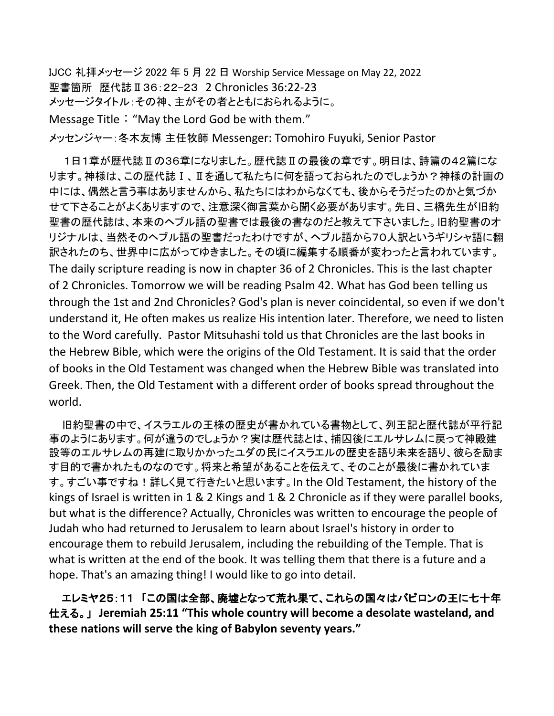IJCC 礼拝メッセージ 2022 年 5 月 22 日 Worship Service Message on May 22, 2022 聖書箇所 歴代誌Ⅱ36:22-23 2 Chronicles 36:22-23 メッセージタイトル:その神、主がその者とともにおられるように。 Message Title: "May the Lord God be with them."

メッセンジャー:冬木友博 主任牧師 Messenger: Tomohiro Fuyuki, Senior Pastor

 1日1章が歴代誌Ⅱの36章になりました。歴代誌Ⅱの最後の章です。明日は、詩篇の42篇にな ります。神様は、この歴代誌Ⅰ、Ⅱを通して私たちに何を語っておられたのでしょうか?神様の計画の 中には、偶然と言う事はありませんから、私たちにはわからなくても、後からそうだったのかと気づか せて下さることがよくありますので、注意深く御言葉から聞く必要があります。先日、三橋先生が旧約 聖書の歴代誌は、本来のヘブル語の聖書では最後の書なのだと教えて下さいました。旧約聖書のオ リジナルは、当然そのヘブル語の聖書だったわけですが、ヘブル語から70人訳というギリシャ語に翻 訳されたのち、世界中に広がってゆきました。その頃に編集する順番が変わったと言われています。 The daily scripture reading is now in chapter 36 of 2 Chronicles. This is the last chapter of 2 Chronicles. Tomorrow we will be reading Psalm 42. What has God been telling us through the 1st and 2nd Chronicles? God's plan is never coincidental, so even if we don't understand it, He often makes us realize His intention later. Therefore, we need to listen to the Word carefully. Pastor Mitsuhashi told us that Chronicles are the last books in the Hebrew Bible, which were the origins of the Old Testament. It is said that the order of books in the Old Testament was changed when the Hebrew Bible was translated into Greek. Then, the Old Testament with a different order of books spread throughout the world.

旧約聖書の中で、イスラエルの王様の歴史が書かれている書物として、列王記と歴代誌が平行記 事のようにあります。何が違うのでしょうか?実は歴代誌とは、捕囚後にエルサレムに戻って神殿建 設等のエルサレムの再建に取りかかったユダの民にイスラエルの歴史を語り未来を語り、彼らを励ま す目的で書かれたものなのです。将来と希望があることを伝えて、そのことが最後に書かれていま す。すごい事ですね!詳しく見て行きたいと思います。In the Old Testament, the history of the kings of Israel is written in 1 & 2 Kings and 1 & 2 Chronicle as if they were parallel books, but what is the difference? Actually, Chronicles was written to encourage the people of Judah who had returned to Jerusalem to learn about Israel's history in order to encourage them to rebuild Jerusalem, including the rebuilding of the Temple. That is what is written at the end of the book. It was telling them that there is a future and a hope. That's an amazing thing! I would like to go into detail.

エレミヤ25:11 「この国は全部、廃墟となって荒れ果て、これらの国々はバビロンの王に七十年 仕える。」 **Jeremiah 25:11 "This whole country will become a desolate wasteland, and these nations will serve the king of Babylon seventy years."**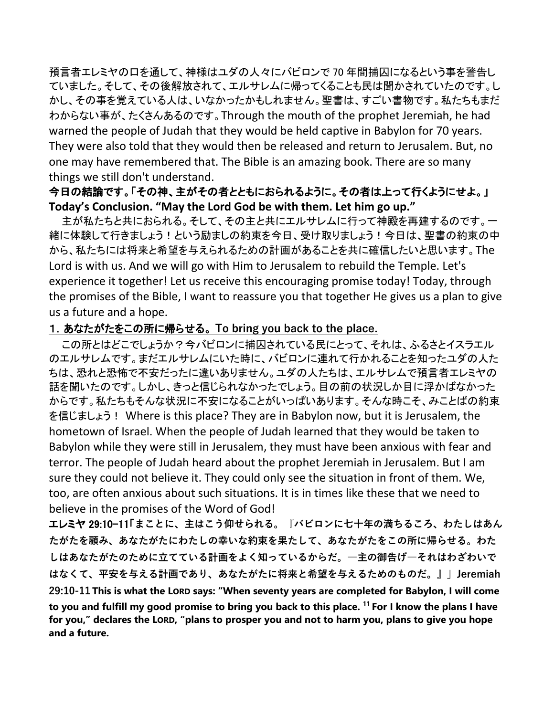預言者エレミヤの口を通して、神様はユダの人々にバビロンで 70 年間捕囚になるという事を警告し ていました。そして、その後解放されて、エルサレムに帰ってくることも民は聞かされていたのです。し かし、その事を覚えている人は、いなかったかもしれません。聖書は、すごい書物です。私たちもまだ わからない事が、たくさんあるのです。Through the mouth of the prophet Jeremiah, he had warned the people of Judah that they would be held captive in Babylon for 70 years. They were also told that they would then be released and return to Jerusalem. But, no one may have remembered that. The Bible is an amazing book. There are so many things we still don't understand.

### 今日の結論です。「その神、主がその者とともにおられるように。その者は上って行くようにせよ。」 **Today's Conclusion. "May the Lord God be with them. Let him go up."**

主が私たちと共におられる。そして、その主と共にエルサレムに行って神殿を再建するのです。一 緒に体験して行きましょう!という励ましの約束を今日、受け取りましょう!今日は、聖書の約束の中 から、私たちには将来と希望を与えられるための計画があることを共に確信したいと思います。The Lord is with us. And we will go with Him to Jerusalem to rebuild the Temple. Let's experience it together! Let us receive this encouraging promise today! Today, through the promises of the Bible, I want to reassure you that together He gives us a plan to give us a future and a hope.

#### 1.あなたがたをこの所に帰らせる。 **To bring you back to the place.**

この所とはどこでしょうか?今バビロンに捕囚されている民にとって、それは、ふるさとイスラエル のエルサレムです。まだエルサレムにいた時に、バビロンに連れて行かれることを知ったユダの人た ちは、恐れと恐怖で不安だったに違いありません。ユダの人たちは、エルサレムで預言者エレミヤの 話を聞いたのです。しかし、きっと信じられなかったでしょう。目の前の状況しか目に浮かばなかった からです。私たちもそんな状況に不安になることがいっぱいあります。そんな時こそ、みことばの約束 を信じましょう! Where is this place? They are in Babylon now, but it is Jerusalem, the hometown of Israel. When the people of Judah learned that they would be taken to Babylon while they were still in Jerusalem, they must have been anxious with fear and terror. The people of Judah heard about the prophet Jeremiah in Jerusalem. But I am sure they could not believe it. They could only see the situation in front of them. We, too, are often anxious about such situations. It is in times like these that we need to believe in the promises of the Word of God!

エレミヤ 29:10-11「**まことに、主はこう仰せられる。『バビロンに七十年の満ちるころ、わたしはあん たがたを顧み、あなたがたにわたしの幸いな約束を果たして、あなたがたをこの所に帰らせる。わた しはあなたがたのために立てている計画をよく知っているからだ。―主の御告げ―それはわざわいで はなくて、平安を与える計画であり、あなたがたに将来と希望を与えるためのものだ。』」Jeremiah 29:10-11 This is what the LORD says: "When seventy years are completed for Babylon, I will come to you and fulfill my good promise to bring you back to this place. <sup>11</sup> For I know the plans I have for you," declares the LORD, "plans to prosper you and not to harm you, plans to give you hope and a future.**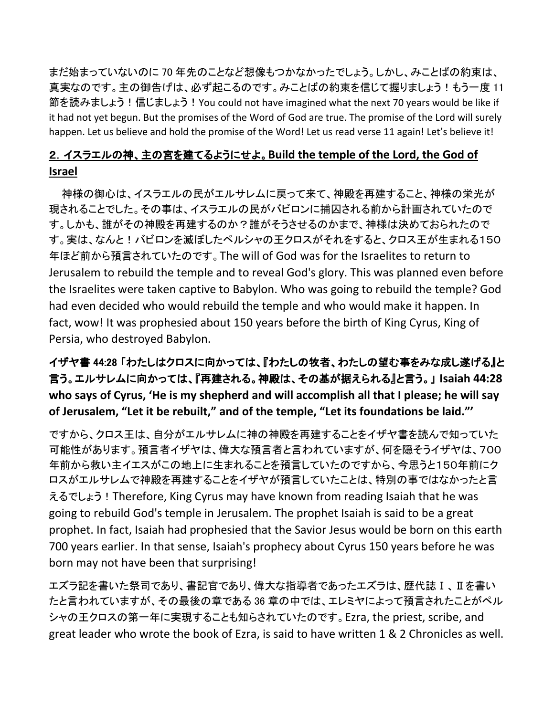まだ始まっていないのに 70 年先のことなど想像もつかなかったでしょう。しかし、みことばの約束は、 真実なのです。主の御告げは、必ず起こるのです。みことばの約束を信じて握りましょう!もう一度 11 節を読みましょう!信じましょう! You could not have imagined what the next 70 years would be like if it had not yet begun. But the promises of the Word of God are true. The promise of the Lord will surely happen. Let us believe and hold the promise of the Word! Let us read verse 11 again! Let's believe it!

## 2.イスラエルの神、主の宮を建てるようにせよ。**Build the temple of the Lord, the God of Israel**

神様の御心は、イスラエルの民がエルサレムに戻って来て、神殿を再建すること、神様の栄光が 現されることでした。その事は、イスラエルの民がバビロンに捕囚される前から計画されていたので す。しかも、誰がその神殿を再建するのか?誰がそうさせるのかまで、神様は決めておられたので す。実は、なんと!バビロンを滅ぼしたペルシャの王クロスがそれをすると、クロス王が生まれる150 年ほど前から預言されていたのです。The will of God was for the Israelites to return to Jerusalem to rebuild the temple and to reveal God's glory. This was planned even before the Israelites were taken captive to Babylon. Who was going to rebuild the temple? God had even decided who would rebuild the temple and who would make it happen. In fact, wow! It was prophesied about 150 years before the birth of King Cyrus, King of Persia, who destroyed Babylon.

# イザヤ書 44:28 「わたしはクロスに向かっては、『わたしの牧者、わたしの望む事をみな成し遂げる』と 言う。エルサレムに向かっては、『再建される。神殿は、その基が据えられる』と言う。」 **Isaiah 44:28 who says of Cyrus, 'He is my shepherd and will accomplish all that I please; he will say of Jerusalem, "Let it be rebuilt," and of the temple, "Let its foundations be laid."'**

ですから、クロス王は、自分がエルサレムに神の神殿を再建することをイザヤ書を読んで知っていた 可能性があります。預言者イザヤは、偉大な預言者と言われていますが、何を隠そうイザヤは、700 年前から救い主イエスがこの地上に生まれることを預言していたのですから、今思うと150年前にク ロスがエルサレムで神殿を再建することをイザヤが預言していたことは、特別の事ではなかったと言 えるでしょう!Therefore, King Cyrus may have known from reading Isaiah that he was going to rebuild God's temple in Jerusalem. The prophet Isaiah is said to be a great prophet. In fact, Isaiah had prophesied that the Savior Jesus would be born on this earth 700 years earlier. In that sense, Isaiah's prophecy about Cyrus 150 years before he was born may not have been that surprising!

エズラ記を書いた祭司であり、書記官であり、偉大な指導者であったエズラは、歴代誌Ⅰ、Ⅱを書い たと言われていますが、その最後の章である 36 章の中では、エレミヤによって預言されたことがペル シャの王クロスの第一年に実現することも知らされていたのです。Ezra, the priest, scribe, and great leader who wrote the book of Ezra, is said to have written 1 & 2 Chronicles as well.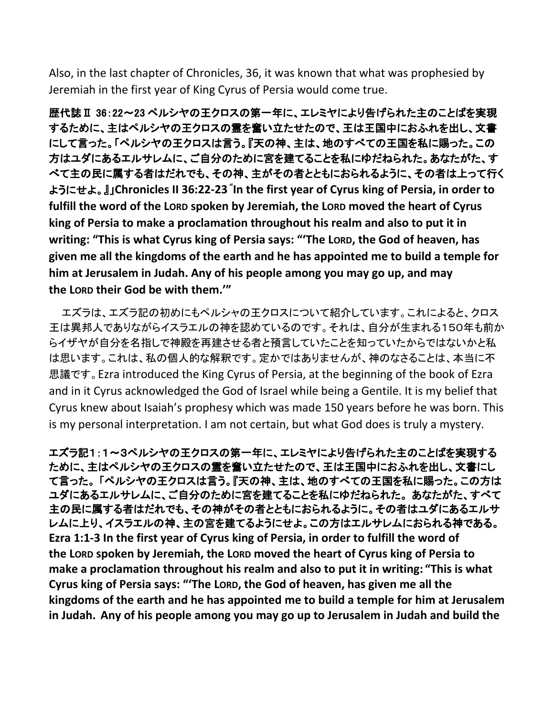Also, in the last chapter of Chronicles, 36, it was known that what was prophesied by Jeremiah in the first year of King Cyrus of Persia would come true.

歴代誌Ⅱ 36:22~23 ペルシヤの王クロスの第一年に、エレミヤにより告げられた主のことばを実現 するために、主はペルシヤの王クロスの霊を奮い立たせたので、王は王国中におふれを出し、文書 にして言った。「ペルシヤの王クロスは言う。『天の神、主は、地のすべての王国を私に賜った。この 方はユダにあるエルサレムに、ご自分のために宮を建てることを私にゆだねられた。あなたがた、す べて主の民に属する者はだれでも、その神、主がその者とともにおられるように、その者は上って行く ようにせよ。』」**Chronicles II 36:22-23 " In the first year of Cyrus king of Persia, in order to fulfill the word of the LORD spoken by Jeremiah, the LORD moved the heart of Cyrus king of Persia to make a proclamation throughout his realm and also to put it in writing: "This is what Cyrus king of Persia says: "'The LORD, the God of heaven, has given me all the kingdoms of the earth and he has appointed me to build a temple for him at Jerusalem in Judah. Any of his people among you may go up, and may the LORD their God be with them.'"**

エズラは、エズラ記の初めにもペルシャの王クロスについて紹介しています。これによると、クロス 王は異邦人でありながらイスラエルの神を認めているのです。それは、自分が生まれる150年も前か らイザヤが自分を名指しで神殿を再建させる者と預言していたことを知っていたからではないかと私 は思います。これは、私の個人的な解釈です。定かではありませんが、神のなさることは、本当に不 思議です。Ezra introduced the King Cyrus of Persia, at the beginning of the book of Ezra and in it Cyrus acknowledged the God of Israel while being a Gentile. It is my belief that Cyrus knew about Isaiah's prophesy which was made 150 years before he was born. This is my personal interpretation. I am not certain, but what God does is truly a mystery.

エズラ記1:1~3ペルシヤの王クロスの第一年に、エレミヤにより告げられた主のことばを実現する ために、主はペルシヤの王クロスの霊を奮い立たせたので、王は王国中におふれを出し、文書にし て言った。 「ペルシヤの王クロスは言う。『天の神、主は、地のすべての王国を私に賜った。この方は ユダにあるエルサレムに、ご自分のために宮を建てることを私にゆだねられた。 あなたがた、すべて 主の民に属する者はだれでも、その神がその者とともにおられるように。その者はユダにあるエルサ レムに上り、イスラエルの神、主の宮を建てるようにせよ。この方はエルサレムにおられる神である。 **Ezra 1:1-3 In the first year of Cyrus king of Persia, in order to fulfill the word of the LORD spoken by Jeremiah, the LORD moved the heart of Cyrus king of Persia to make a proclamation throughout his realm and also to put it in writing: "This is what Cyrus king of Persia says: "'The LORD, the God of heaven, has given me all the kingdoms of the earth and he has appointed me to build a temple for him at Jerusalem in Judah. Any of his people among you may go up to Jerusalem in Judah and build the**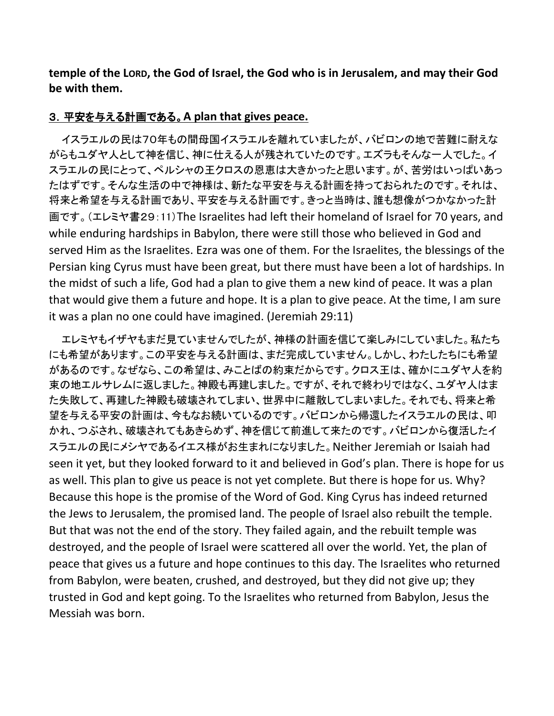**temple of the LORD, the God of Israel, the God who is in Jerusalem, and may their God be with them.**

#### 3.平安を与える計画である。**A plan that gives peace.**

イスラエルの民は70年もの間母国イスラエルを離れていましたが、バビロンの地で苦難に耐えな がらもユダヤ人として神を信じ、神に仕える人が残されていたのです。エズラもそんな一人でした。イ スラエルの民にとって、ペルシャの王クロスの恩恵は大きかったと思います。が、苦労はいっぱいあっ たはずです。そんな生活の中で神様は、新たな平安を与える計画を持っておられたのです。それは、 将来と希望を与える計画であり、平安を与える計画です。きっと当時は、誰も想像がつかなかった計 画です。(エレミヤ書29:11)The Israelites had left their homeland of Israel for 70 years, and while enduring hardships in Babylon, there were still those who believed in God and served Him as the Israelites. Ezra was one of them. For the Israelites, the blessings of the Persian king Cyrus must have been great, but there must have been a lot of hardships. In the midst of such a life, God had a plan to give them a new kind of peace. It was a plan that would give them a future and hope. It is a plan to give peace. At the time, I am sure it was a plan no one could have imagined. (Jeremiah 29:11)

エレミヤもイザヤもまだ見ていませんでしたが、神様の計画を信じて楽しみにしていました。私たち にも希望があります。この平安を与える計画は、まだ完成していません。しかし、わたしたちにも希望 があるのです。なぜなら、この希望は、みことばの約束だからです。クロス王は、確かにユダヤ人を約 束の地エルサレムに返しました。神殿も再建しました。ですが、それで終わりではなく、ユダヤ人はま た失敗して、再建した神殿も破壊されてしまい、世界中に離散してしまいました。それでも、将来と希 望を与える平安の計画は、今もなお続いているのです。バビロンから帰還したイスラエルの民は、叩 かれ、つぶされ、破壊されてもあきらめず、神を信じて前進して来たのです。バビロンから復活したイ スラエルの民にメシヤであるイエス様がお生まれになりました。Neither Jeremiah or Isaiah had seen it yet, but they looked forward to it and believed in God's plan. There is hope for us as well. This plan to give us peace is not yet complete. But there is hope for us. Why? Because this hope is the promise of the Word of God. King Cyrus has indeed returned the Jews to Jerusalem, the promised land. The people of Israel also rebuilt the temple. But that was not the end of the story. They failed again, and the rebuilt temple was destroyed, and the people of Israel were scattered all over the world. Yet, the plan of peace that gives us a future and hope continues to this day. The Israelites who returned from Babylon, were beaten, crushed, and destroyed, but they did not give up; they trusted in God and kept going. To the Israelites who returned from Babylon, Jesus the Messiah was born.